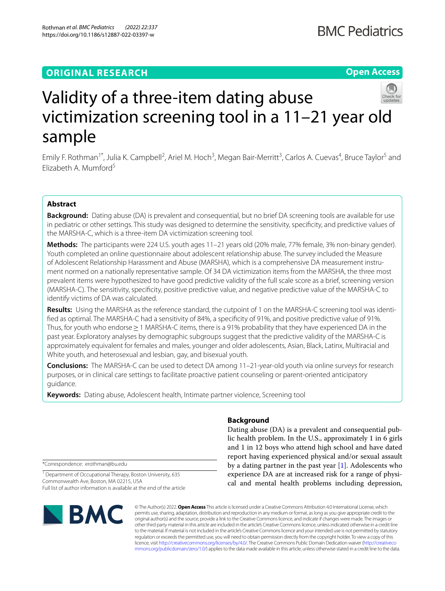# **ORIGINAL RESEARCH**

# **Open Access**



# Validity of a three-item dating abuse victimization screening tool in a 11–21 year old sample

Emily F. Rothman<sup>1\*</sup>, Julia K. Campbell<sup>2</sup>, Ariel M. Hoch<sup>3</sup>, Megan Bair-Merritt<sup>3</sup>, Carlos A. Cuevas<sup>4</sup>, Bruce Taylor<sup>5</sup> and Elizabeth A. Mumford<sup>5</sup>

# **Abstract**

**Background:** Dating abuse (DA) is prevalent and consequential, but no brief DA screening tools are available for use in pediatric or other settings. This study was designed to determine the sensitivity, specifcity, and predictive values of the MARSHA-C, which is a three-item DA victimization screening tool.

**Methods:** The participants were 224 U.S. youth ages 11–21 years old (20% male, 77% female, 3% non-binary gender). Youth completed an online questionnaire about adolescent relationship abuse. The survey included the Measure of Adolescent Relationship Harassment and Abuse (MARSHA), which is a comprehensive DA measurement instrument normed on a nationally representative sample. Of 34 DA victimization items from the MARSHA, the three most prevalent items were hypothesized to have good predictive validity of the full scale score as a brief, screening version (MARSHA-C). The sensitivity, specifcity, positive predictive value, and negative predictive value of the MARSHA-C to identify victims of DA was calculated.

Results: Using the MARSHA as the reference standard, the cutpoint of 1 on the MARSHA-C screening tool was identifed as optimal. The MARSHA-C had a sensitivity of 84%, a specifcity of 91%, and positive predictive value of 91%. Thus, for youth who endorse≥1 MARSHA-C items, there is a 91% probability that they have experienced DA in the past year. Exploratory analyses by demographic subgroups suggest that the predictive validity of the MARSHA-C is approximately equivalent for females and males, younger and older adolescents, Asian, Black, Latinx, Multiracial and White youth, and heterosexual and lesbian, gay, and bisexual youth.

**Conclusions:** The MARSHA-C can be used to detect DA among 11–21-year-old youth via online surveys for research purposes, or in clinical care settings to facilitate proactive patient counseling or parent-oriented anticipatory guidance.

**Keywords:** Dating abuse, Adolescent health, Intimate partner violence, Screening tool

**Background**

Dating abuse (DA) is a prevalent and consequential public health problem. In the U.S., approximately 1 in 6 girls and 1 in 12 boys who attend high school and have dated report having experienced physical and/or sexual assault by a dating partner in the past year [[1\]](#page-7-0). Adolescents who experience DA are at increased risk for a range of physical and mental health problems including depression,

\*Correspondence: erothman@bu.edu

<sup>1</sup> Department of Occupational Therapy, Boston University, 635 Commonwealth Ave, Boston, MA 02215, USA Full list of author information is available at the end of the article



© The Author(s) 2022. **Open Access** This article is licensed under a Creative Commons Attribution 4.0 International License, which permits use, sharing, adaptation, distribution and reproduction in any medium or format, as long as you give appropriate credit to the original author(s) and the source, provide a link to the Creative Commons licence, and indicate if changes were made. The images or other third party material in this article are included in the article's Creative Commons licence, unless indicated otherwise in a credit line to the material. If material is not included in the article's Creative Commons licence and your intended use is not permitted by statutory regulation or exceeds the permitted use, you will need to obtain permission directly from the copyright holder. To view a copy of this licence, visit [http://creativecommons.org/licenses/by/4.0/.](http://creativecommons.org/licenses/by/4.0/) The Creative Commons Public Domain Dedication waiver ([http://creativeco](http://creativecommons.org/publicdomain/zero/1.0/) [mmons.org/publicdomain/zero/1.0/](http://creativecommons.org/publicdomain/zero/1.0/)) applies to the data made available in this article, unless otherwise stated in a credit line to the data.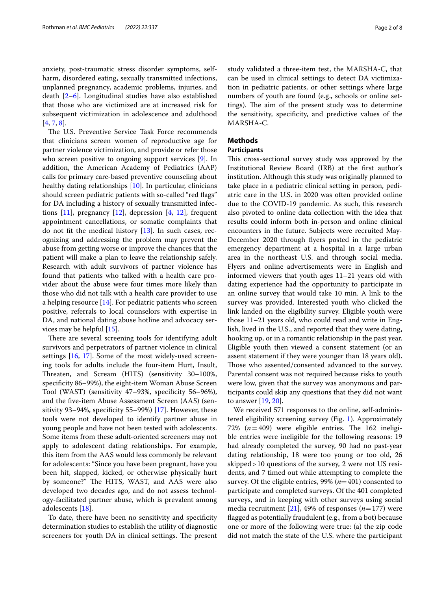anxiety, post-traumatic stress disorder symptoms, selfharm, disordered eating, sexually transmitted infections, unplanned pregnancy, academic problems, injuries, and death [[2–](#page-7-1)[6\]](#page-7-2). Longitudinal studies have also established that those who are victimized are at increased risk for subsequent victimization in adolescence and adulthood [[4,](#page-7-3) [7](#page-7-4), [8\]](#page-7-5).

The U.S. Preventive Service Task Force recommends that clinicians screen women of reproductive age for partner violence victimization, and provide or refer those who screen positive to ongoing support services [[9\]](#page-7-6). In addition, the American Academy of Pediatrics (AAP) calls for primary care-based preventive counseling about healthy dating relationships [\[10\]](#page-7-7). In particular, clinicians should screen pediatric patients with so-called "red fags" for DA including a history of sexually transmitted infections  $[11]$  $[11]$ , pregnancy  $[12]$  $[12]$ , depression  $[4, 12]$  $[4, 12]$  $[4, 12]$  $[4, 12]$  $[4, 12]$ , frequent appointment cancellations, or somatic complaints that do not ft the medical history [\[13](#page-7-10)]. In such cases, recognizing and addressing the problem may prevent the abuse from getting worse or improve the chances that the patient will make a plan to leave the relationship safely. Research with adult survivors of partner violence has found that patients who talked with a health care provider about the abuse were four times more likely than those who did not talk with a health care provider to use a helping resource  $[14]$  $[14]$ . For pediatric patients who screen positive, referrals to local counselors with expertise in DA, and national dating abuse hotline and advocacy services may be helpful [\[15](#page-7-12)].

There are several screening tools for identifying adult survivors and perpetrators of partner violence in clinical settings [[16,](#page-7-13) [17](#page-7-14)]. Some of the most widely-used screening tools for adults include the four-item Hurt, Insult, Threaten, and Scream (HITS) (sensitivity 30-100%, specifcity 86–99%), the eight-item Woman Abuse Screen Tool (WAST) (sensitivity 47–93%, specifcity 56–96%), and the fve-item Abuse Assessment Screen (AAS) (sensitivity 93–94%, specifcity 55–99%) [[17\]](#page-7-14). However, these tools were not developed to identify partner abuse in young people and have not been tested with adolescents. Some items from these adult-oriented screeners may not apply to adolescent dating relationships. For example, this item from the AAS would less commonly be relevant for adolescents: "Since you have been pregnant, have you been hit, slapped, kicked, or otherwise physically hurt by someone?" The HITS, WAST, and AAS were also developed two decades ago, and do not assess technology-facilitated partner abuse, which is prevalent among adolescents [\[18](#page-7-15)].

To date, there have been no sensitivity and specifcity determination studies to establish the utility of diagnostic screeners for youth DA in clinical settings. The present study validated a three-item test, the MARSHA-C, that can be used in clinical settings to detect DA victimization in pediatric patients, or other settings where large numbers of youth are found (e.g., schools or online settings). The aim of the present study was to determine the sensitivity, specifcity, and predictive values of the MARSHA-C.

## **Methods**

# **Participants**

This cross-sectional survey study was approved by the Institutional Review Board (IRB) at the frst author's institution. Although this study was originally planned to take place in a pediatric clinical setting in person, pediatric care in the U.S. in 2020 was often provided online due to the COVID-19 pandemic. As such, this research also pivoted to online data collection with the idea that results could inform both in-person and online clinical encounters in the future. Subjects were recruited May-December 2020 through fyers posted in the pediatric emergency department at a hospital in a large urban area in the northeast U.S. and through social media. Flyers and online advertisements were in English and informed viewers that youth ages 11–21 years old with dating experience had the opportunity to participate in an online survey that would take 10 min. A link to the survey was provided. Interested youth who clicked the link landed on the eligibility survey. Eligible youth were those 11–21 years old, who could read and write in English, lived in the U.S., and reported that they were dating, hooking up, or in a romantic relationship in the past year. Eligible youth then viewed a consent statement (or an assent statement if they were younger than 18 years old). Those who assented/consented advanced to the survey. Parental consent was not required because risks to youth were low, given that the survey was anonymous and participants could skip any questions that they did not want to answer [[19,](#page-7-16) [20](#page-7-17)].

We received 571 responses to the online, self-administered eligibility screening survey (Fig. [1](#page-2-0)). Approximately 72%  $(n=409)$  were eligible entries. The 162 ineligible entries were ineligible for the following reasons: 19 had already completed the survey, 90 had no past-year dating relationship, 18 were too young or too old, 26 skipped>10 questions of the survey, 2 were not US residents, and 7 timed out while attempting to complete the survey. Of the eligible entries, 99% (*n*=401) consented to participate and completed surveys. Of the 401 completed surveys, and in keeping with other surveys using social media recruitment [\[21](#page-7-18)], 49% of responses (*n*=177) were fagged as potentially fraudulent (e.g., from a bot) because one or more of the following were true: (a) the zip code did not match the state of the U.S. where the participant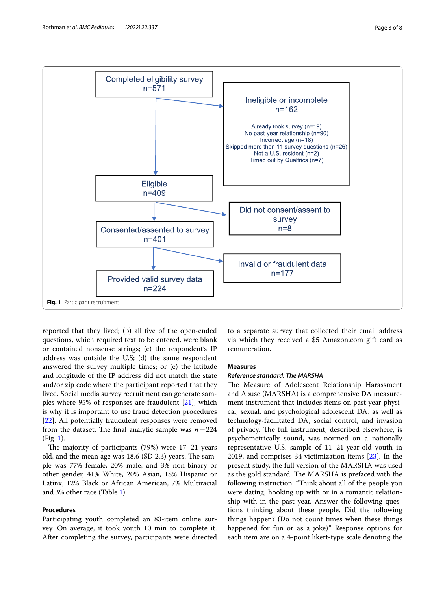

<span id="page-2-0"></span>reported that they lived; (b) all five of the open-ended questions, which required text to be entered, were blank or contained nonsense strings; (c) the respondent's IP address was outside the U.S; (d) the same respondent answered the survey multiple times; or (e) the latitude and longitude of the IP address did not match the state and/or zip code where the participant reported that they lived. Social media survey recruitment can generate samples where 95% of responses are fraudulent [[21\]](#page-7-18), which is why it is important to use fraud detection procedures [[22\]](#page-7-19). All potentially fraudulent responses were removed from the dataset. The final analytic sample was  $n=224$ (Fig. [1\)](#page-2-0).

The majority of participants  $(79%)$  were  $17-21$  years old, and the mean age was  $18.6$  (SD 2.3) years. The sample was 77% female, 20% male, and 3% non-binary or other gender, 41% White, 20% Asian, 18% Hispanic or Latinx, 12% Black or African American, 7% Multiracial and 3% other race (Table [1\)](#page-3-0).

# **Procedures**

Participating youth completed an 83-item online survey. On average, it took youth 10 min to complete it. After completing the survey, participants were directed

to a separate survey that collected their email address via which they received a \$5 Amazon.com gift card as remuneration.

# **Measures**

#### *Reference standard: The MARSHA*

The Measure of Adolescent Relationship Harassment and Abuse (MARSHA) is a comprehensive DA measurement instrument that includes items on past year physical, sexual, and psychological adolescent DA, as well as technology-facilitated DA, social control, and invasion of privacy. The full instrument, described elsewhere, is psychometrically sound, was normed on a nationally representative U.S. sample of 11–21-year-old youth in 2019, and comprises 34 victimization items [\[23](#page-7-20)]. In the present study, the full version of the MARSHA was used as the gold standard. The MARSHA is prefaced with the following instruction: "Think about all of the people you were dating, hooking up with or in a romantic relationship with in the past year. Answer the following questions thinking about these people. Did the following things happen? (Do not count times when these things happened for fun or as a joke)." Response options for each item are on a 4-point likert-type scale denoting the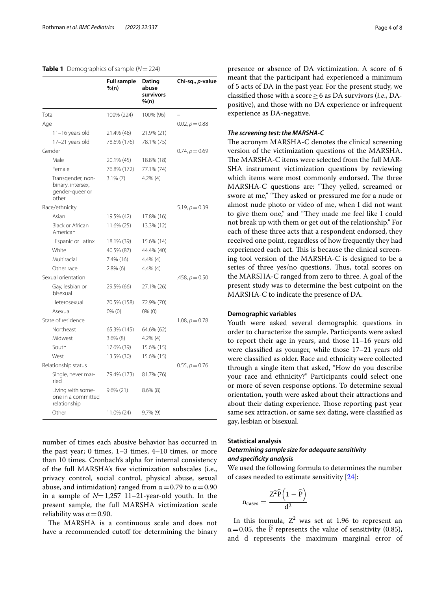# <span id="page-3-0"></span>**Table 1** Demographics of sample (*N*=224)

|                    |                                                                    | <b>Full sample</b><br>% (n) | Dating<br>abuse<br>survivors<br>%(n) | Chi-sq., <i>p</i> -value |
|--------------------|--------------------------------------------------------------------|-----------------------------|--------------------------------------|--------------------------|
| Total              |                                                                    | 100% (224)                  | 100% (96)                            |                          |
| Age                |                                                                    |                             |                                      | $0.02, p = 0.88$         |
|                    | 11-16 years old                                                    | 21.4% (48)                  | 21.9% (21)                           |                          |
|                    | 17-21 years old                                                    | 78.6% (176)                 | 78.1% (75)                           |                          |
|                    | Gender                                                             |                             |                                      | $0.74, p = 0.69$         |
|                    | Male                                                               | 20.1% (45)                  | 18.8% (18)                           |                          |
|                    | Female                                                             | 76.8% (172)                 | 77.1% (74)                           |                          |
|                    | Transgender, non-<br>binary, intersex,<br>gender-queer or<br>other | $3.1\%$ (7)                 | $4.2\%$ (4)                          |                          |
|                    | Race/ethnicity                                                     |                             |                                      | $5.19, p = 0.39$         |
|                    | Asian                                                              | 19.5% (42)                  | 17.8% (16)                           |                          |
|                    | <b>Black or African</b><br>American                                | 11.6% (25)                  | 13.3% (12)                           |                          |
|                    | Hispanic or Latinx                                                 | 18.1% (39)                  | 15.6% (14)                           |                          |
|                    | White                                                              | 40.5% (87)                  | 44.4% (40)                           |                          |
|                    | Multiracial                                                        | 7.4% (16)                   | $4.4\%$ (4)                          |                          |
|                    | Other race                                                         | $2.8\%$ (6)                 | $4.4\%$ (4)                          |                          |
|                    | Sexual orientation                                                 |                             |                                      | .458, $p = 0.50$         |
|                    | Gay, lesbian or<br>bisexual                                        | 29.5% (66)                  | 27.1% (26)                           |                          |
|                    | Heterosexual                                                       | 70.5% (158)                 | 72.9% (70)                           |                          |
|                    | Asexual                                                            | $0\%$ (0)                   | $0\%$ (0)                            |                          |
| State of residence |                                                                    |                             |                                      | 1.08, $p = 0.78$         |
|                    | Northeast                                                          | 65.3% (145)                 | 64.6% (62)                           |                          |
|                    | Midwest                                                            | $3.6\%$ (8)                 | $4.2\%$ (4)                          |                          |
|                    | South                                                              | 17.6% (39)                  | 15.6% (15)                           |                          |
|                    | West                                                               | 13.5% (30)                  | 15.6% (15)                           |                          |
|                    | Relationship status                                                |                             |                                      | 0.55, $p = 0.76$         |
|                    | Single, never mar-<br>ried                                         | 79.4% (173)                 | 81.7% (76)                           |                          |
|                    | Living with some-<br>one in a committed<br>relationship            | $9.6\%$ (21)                | $8.6\%$ (8)                          |                          |
|                    | Other                                                              | 11.0% (24)                  | $9.7\%$ (9)                          |                          |

number of times each abusive behavior has occurred in the past year; 0 times, 1–3 times, 4–10 times, or more than 10 times. Cronbach's alpha for internal consistency of the full MARSHA's fve victimization subscales (i.e., privacy control, social control, physical abuse, sexual abuse, and intimidation) ranged from  $\alpha$  = 0.79 to  $\alpha$  = 0.90 in a sample of *N*=1,257 11–21-year-old youth. In the present sample, the full MARSHA victimization scale reliability was  $\alpha$  = 0.90.

The MARSHA is a continuous scale and does not have a recommended cutoff for determining the binary presence or absence of DA victimization. A score of 6 meant that the participant had experienced a minimum of 5 acts of DA in the past year. For the present study, we classifed those with a score≥6 as DA survivors (*i.e*., DApositive), and those with no DA experience or infrequent experience as DA-negative.

# *The screening test: the MARSHA‑C*

The acronym MARSHA-C denotes the clinical screening version of the victimization questions of the MARSHA. The MARSHA-C items were selected from the full MAR-SHA instrument victimization questions by reviewing which items were most commonly endorsed. The three MARSHA-C questions are: "They yelled, screamed or swore at me," "They asked or pressured me for a nude or almost nude photo or video of me, when I did not want to give them one," and "They made me feel like I could not break up with them or get out of the relationship." For each of these three acts that a respondent endorsed, they received one point, regardless of how frequently they had experienced each act. This is because the clinical screening tool version of the MARSHA-C is designed to be a series of three yes/no questions. Thus, total scores on the MARSHA-C ranged from zero to three. A goal of the present study was to determine the best cutpoint on the MARSHA-C to indicate the presence of DA.

# **Demographic variables**

Youth were asked several demographic questions in order to characterize the sample. Participants were asked to report their age in years, and those 11–16 years old were classifed as younger, while those 17–21 years old were classifed as older. Race and ethnicity were collected through a single item that asked, "How do you describe your race and ethnicity?" Participants could select one or more of seven response options. To determine sexual orientation, youth were asked about their attractions and about their dating experience. Those reporting past year same sex attraction, or same sex dating, were classifed as gay, lesbian or bisexual.

# **Statistical analysis**

# *Determining sample size for adequate sensitivity and specifcity analysis*

We used the following formula to determines the number of cases needed to estimate sensitivity [[24\]](#page-7-21):

$$
n_{cases}=\frac{Z^2\widehat{P}\Big(1-\widehat{P}\Big)}{d^2}
$$

In this formula,  $Z^2$  was set at 1.96 to represent an  $\alpha$  = 0.05, the P represents the value of sensitivity (0.85), and d represents the maximum marginal error of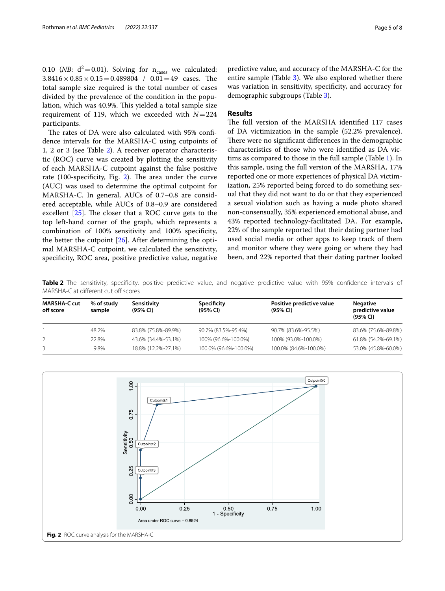0.10 (*NB*:  $d^2 = 0.01$ *)*. Solving for  $n_{cases}$  we calculated:  $3.8416 \times 0.85 \times 0.15 = 0.489804$  /  $0.01 = 49$  cases. The total sample size required is the total number of cases divided by the prevalence of the condition in the population, which was 40.9%. This yielded a total sample size requirement of 119, which we exceeded with *N*=224 participants.

The rates of DA were also calculated with 95% confidence intervals for the MARSHA-C using cutpoints of 1, 2 or 3 (see Table [2](#page-4-0)). A receiver operator characteristic (ROC) curve was created by plotting the sensitivity of each MARSHA-C cutpoint against the false positive rate  $(100$ -specificity, Fig. [2](#page-4-1)). The area under the curve (AUC) was used to determine the optimal cutpoint for MARSHA-C. In general, AUCs of 0.7–0.8 are considered acceptable, while AUCs of 0.8–0.9 are considered excellent  $[25]$  $[25]$  $[25]$ . The closer that a ROC curve gets to the top left-hand corner of the graph, which represents a combination of 100% sensitivity and 100% specifcity, the better the cutpoint [[26\]](#page-7-23). After determining the optimal MARSHA-C cutpoint, we calculated the sensitivity, specifcity, ROC area, positive predictive value, negative predictive value, and accuracy of the MARSHA-C for the entire sample (Table [3](#page-5-0)). We also explored whether there was variation in sensitivity, specifcity, and accuracy for demographic subgroups (Table [3](#page-5-0)).

# **Results**

The full version of the MARSHA identified 117 cases of DA victimization in the sample (52.2% prevalence). There were no significant differences in the demographic characteristics of those who were identifed as DA victims as compared to those in the full sample (Table [1\)](#page-3-0). In this sample, using the full version of the MARSHA, 17% reported one or more experiences of physical DA victimization, 25% reported being forced to do something sexual that they did not want to do or that they experienced a sexual violation such as having a nude photo shared non-consensually, 35% experienced emotional abuse, and 43% reported technology-facilitated DA. For example, 22% of the sample reported that their dating partner had used social media or other apps to keep track of them and monitor where they were going or where they had been, and 22% reported that their dating partner looked

<span id="page-4-0"></span>**Table 2** The sensitivity, specifcity, positive predictive value, and negative predictive value with 95% confdence intervals of MARSHA-C at different cut off scores

| <b>MARSHA-C cut</b><br>off score | % of study<br>sample | Sensitivity<br>(95% CI) | Specificity<br>(95% CI) | Positive predictive value<br>(95% CI) | <b>Negative</b><br>predictive value<br>(95% CI) |
|----------------------------------|----------------------|-------------------------|-------------------------|---------------------------------------|-------------------------------------------------|
|                                  | 48.2%                | 83.8% (75.8%-89.9%)     | 90.7% (83.5%-95.4%)     | 90.7% (83.6%-95.5%)                   | 83.6% (75.6%-89.8%)                             |
|                                  | 22.8%                | 43.6% (34.4%-53.1%)     | 100% (96.6%-100.0%)     | 100% (93.0%-100.0%)                   | 61.8% (54.2%-69.1%)                             |
|                                  | 9.8%                 | 18.8% (12.2%-27.1%)     | 100.0% (96.6%-100.0%)   | 100.0% (84.6%-100.0%)                 | 53.0% (45.8%-60.0%)                             |

<span id="page-4-1"></span>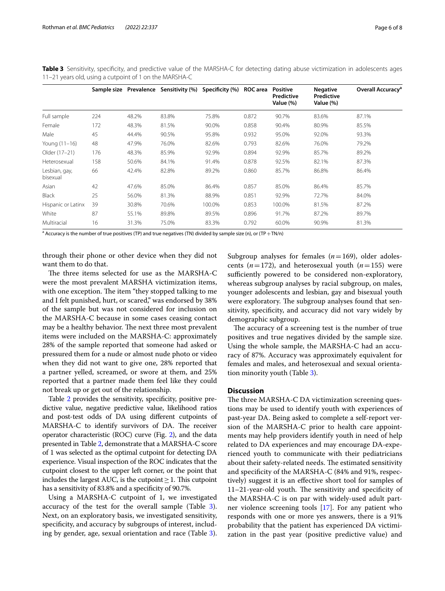|                           | Sample size |       | Prevalence Sensitivity (%) | Specificity (%) | ROC area | <b>Positive</b><br>Predictive<br>Value (%) | <b>Negative</b><br>Predictive<br>Value (%) | Overall Accuracy <sup>a</sup> |
|---------------------------|-------------|-------|----------------------------|-----------------|----------|--------------------------------------------|--------------------------------------------|-------------------------------|
| Full sample               | 224         | 48.2% | 83.8%                      | 75.8%           | 0.872    | 90.7%                                      | 83.6%                                      | 87.1%                         |
| Female                    | 172         | 48.3% | 81.5%                      | 90.0%           | 0.858    | 90.4%                                      | 80.9%                                      | 85.5%                         |
| Male                      | 45          | 44.4% | 90.5%                      | 95.8%           | 0.932    | 95.0%                                      | 92.0%                                      | 93.3%                         |
| Young (11-16)             | 48          | 47.9% | 76.0%                      | 82.6%           | 0.793    | 82.6%                                      | 76.0%                                      | 79.2%                         |
| Older (17-21)             | 176         | 48.3% | 85.9%                      | 92.9%           | 0.894    | 92.9%                                      | 85.7%                                      | 89.2%                         |
| Heterosexual              | 158         | 50.6% | 84.1%                      | 91.4%           | 0.878    | 92.5%                                      | 82.1%                                      | 87.3%                         |
| Lesbian, gay,<br>bisexual | 66          | 42.4% | 82.8%                      | 89.2%           | 0.860    | 85.7%                                      | 86.8%                                      | 86.4%                         |
| Asian                     | 42          | 47.6% | 85.0%                      | 86.4%           | 0.857    | 85.0%                                      | 86.4%                                      | 85.7%                         |
| <b>Black</b>              | 25          | 56.0% | 81.3%                      | 88.9%           | 0.851    | 92.9%                                      | 72.7%                                      | 84.0%                         |
| Hispanic or Latinx        | 39          | 30.8% | 70.6%                      | 100.0%          | 0.853    | 100.0%                                     | 81.5%                                      | 87.2%                         |
| White                     | 87          | 55.1% | 89.8%                      | 89.5%           | 0.896    | 91.7%                                      | 87.2%                                      | 89.7%                         |
| Multiracial               | 16          | 31.3% | 75.0%                      | 83.3%           | 0.792    | 60.0%                                      | 90.9%                                      | 81.3%                         |

<span id="page-5-0"></span>**Table 3** Sensitivity, specificity, and predictive value of the MARSHA-C for detecting dating abuse victimization in adolescents ages 11–21 years old, using a cutpoint of 1 on the MARSHA-C

<sup>a</sup> Accuracy is the number of true positives (TP) and true negatives (TN) divided by sample size (n), or (TP + TN/n)

through their phone or other device when they did not want them to do that.

The three items selected for use as the MARSHA-C were the most prevalent MARSHA victimization items, with one exception. The item "they stopped talking to me and I felt punished, hurt, or scared," was endorsed by 38% of the sample but was not considered for inclusion on the MARSHA-C because in some cases ceasing contact may be a healthy behavior. The next three most prevalent items were included on the MARSHA-C: approximately 28% of the sample reported that someone had asked or pressured them for a nude or almost nude photo or video when they did not want to give one, 28% reported that a partner yelled, screamed, or swore at them, and 25% reported that a partner made them feel like they could not break up or get out of the relationship.

Table [2](#page-4-0) provides the sensitivity, specifcity, positive predictive value, negative predictive value, likelihood ratios and post-test odds of DA using diferent cutpoints of MARSHA-C to identify survivors of DA. The receiver operator characteristic (ROC) curve (Fig. [2](#page-4-1)), and the data presented in Table [2,](#page-4-0) demonstrate that a MARSHA-C score of 1 was selected as the optimal cutpoint for detecting DA experience. Visual inspection of the ROC indicates that the cutpoint closest to the upper left corner, or the point that includes the largest AUC, is the cutpoint  $\geq$  1. This cutpoint has a sensitivity of 83.8% and a specifcity of 90.7%.

Using a MARSHA-C cutpoint of 1, we investigated accuracy of the test for the overall sample (Table [3](#page-5-0)). Next, on an exploratory basis, we investigated sensitivity, specifcity, and accuracy by subgroups of interest, including by gender, age, sexual orientation and race (Table [3](#page-5-0)). Subgroup analyses for females  $(n=169)$ , older adolescents ( $n=172$ ), and heterosexual youth ( $n=155$ ) were sufficiently powered to be considered non-exploratory, whereas subgroup analyses by racial subgroup, on males, younger adolescents and lesbian, gay and bisexual youth were exploratory. The subgroup analyses found that sensitivity, specifcity, and accuracy did not vary widely by demographic subgroup.

The accuracy of a screening test is the number of true positives and true negatives divided by the sample size. Using the whole sample, the MARSHA-C had an accuracy of 87%. Accuracy was approximately equivalent for females and males, and heterosexual and sexual orientation minority youth (Table [3](#page-5-0)).

# **Discussion**

The three MARSHA-C DA victimization screening questions may be used to identify youth with experiences of past-year DA. Being asked to complete a self-report version of the MARSHA-C prior to health care appointments may help providers identify youth in need of help related to DA experiences and may encourage DA-experienced youth to communicate with their pediatricians about their safety-related needs. The estimated sensitivity and specifcity of the MARSHA-C (84% and 91%, respectively) suggest it is an efective short tool for samples of  $11-21$ -year-old youth. The sensitivity and specificity of the MARSHA-C is on par with widely-used adult partner violence screening tools [[17\]](#page-7-14). For any patient who responds with one or more yes answers, there is a 91% probability that the patient has experienced DA victimization in the past year (positive predictive value) and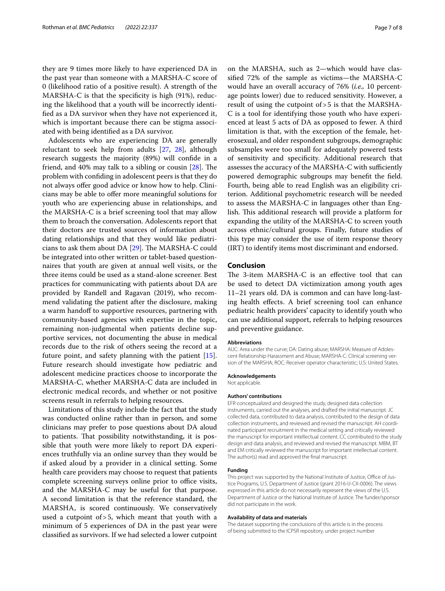they are 9 times more likely to have experienced DA in the past year than someone with a MARSHA-C score of 0 (likelihood ratio of a positive result). A strength of the MARSHA-C is that the specifcity is high (91%), reducing the likelihood that a youth will be incorrectly identifed as a DA survivor when they have not experienced it, which is important because there can be stigma associated with being identifed as a DA survivor.

Adolescents who are experiencing DA are generally reluctant to seek help from adults [[27](#page-7-24), [28\]](#page-7-25), although research suggests the majority (89%) will confde in a friend, and  $40\%$  may talk to a sibling or cousin  $[28]$  $[28]$ . The problem with confding in adolescent peers is that they do not always ofer good advice or know how to help. Clinicians may be able to ofer more meaningful solutions for youth who are experiencing abuse in relationships, and the MARSHA-C is a brief screening tool that may allow them to broach the conversation. Adolescents report that their doctors are trusted sources of information about dating relationships and that they would like pediatricians to ask them about DA  $[29]$  $[29]$ . The MARSHA-C could be integrated into other written or tablet-based questionnaires that youth are given at annual well visits, or the three items could be used as a stand-alone screener. Best practices for communicating with patients about DA are provided by Randell and Ragavan (2019), who recommend validating the patient after the disclosure, making a warm handoff to supportive resources, partnering with community-based agencies with expertise in the topic, remaining non-judgmental when patients decline supportive services, not documenting the abuse in medical records due to the risk of others seeing the record at a future point, and safety planning with the patient [\[15](#page-7-12)]. Future research should investigate how pediatric and adolescent medicine practices choose to incorporate the MARSHA-C, whether MARSHA-C data are included in electronic medical records, and whether or not positive screens result in referrals to helping resources.

Limitations of this study include the fact that the study was conducted online rather than in person, and some clinicians may prefer to pose questions about DA aloud to patients. Tat possibility notwithstanding, it is possible that youth were more likely to report DA experiences truthfully via an online survey than they would be if asked aloud by a provider in a clinical setting. Some health care providers may choose to request that patients complete screening surveys online prior to office visits, and the MARSHA-C may be useful for that purpose. A second limitation is that the reference standard, the MARSHA, is scored continuously. We conservatively used a cutpoint of>5, which meant that youth with a minimum of 5 experiences of DA in the past year were classifed as survivors. If we had selected a lower cutpoint on the MARSHA, such as 2—which would have classifed 72% of the sample as victims—the MARSHA-C would have an overall accuracy of 76% (*i.e.,* 10 percentage points lower) due to reduced sensitivity. However, a result of using the cutpoint of>5 is that the MARSHA-C is a tool for identifying those youth who have experienced at least 5 acts of DA as opposed to fewer. A third limitation is that, with the exception of the female, heterosexual, and older respondent subgroups, demographic subsamples were too small for adequately powered tests of sensitivity and specifcity. Additional research that assesses the accuracy of the MARSHA-C with sufficiently powered demographic subgroups may beneft the feld. Fourth, being able to read English was an eligibility criterion. Additional psychometric research will be needed to assess the MARSHA-C in languages other than English. This additional research will provide a platform for expanding the utility of the MARSHA-C to screen youth across ethnic/cultural groups. Finally, future studies of this type may consider the use of item response theory (IRT) to identify items most discriminant and endorsed.

#### **Conclusion**

The 3-item MARSHA-C is an effective tool that can be used to detect DA victimization among youth ages 11–21 years old. DA is common and can have long-lasting health efects. A brief screening tool can enhance pediatric health providers' capacity to identify youth who can use additional support, referrals to helping resources and preventive guidance.

#### **Abbreviations**

AUC: Area under the curve; DA: Dating abuse; MARSHA: Measure of Adolescent Relationship Harassment and Abuse; MARSHA-C: Clinical screening version of the MARSHA; ROC: Receiver operator characteristic; U.S: United States.

#### **Acknowledgements**

Not applicable.

#### **Authors' contributions**

EFR conceptualized and designed the study, designed data collection instruments, carried out the analyses, and drafted the initial manuscript. JC collected data, contributed to data analysis, contributed to the design of data collection instruments, and reviewed and revised the manuscript. AH coordinated participant recruitment in the medical setting and critically reviewed the manuscript for important intellectual content. CC contributed to the study design and data analysis, and reviewed and revised the manuscript. MBM, BT and EM critically reviewed the manuscript for important intellectual content. The author(s) read and approved the fnal manuscript.

#### **Funding**

This project was supported by the National Institute of Justice, Office of Justice Programs, U.S. Department of Justice (grant 2016-IJ-CX-0006). The views expressed in this article do not necessarily represent the views of the U.S. Department of Justice or the National Institute of Justice. The funder/sponsor did not participate in the work.

#### **Availability of data and materials**

The dataset supporting the conclusions of this article is in the process of being submitted to the ICPSR repository, under project number